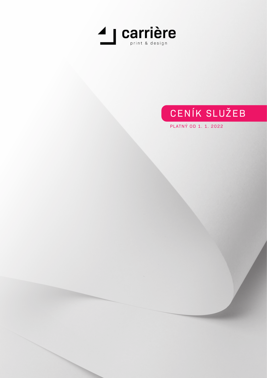

# CENÍK SLUŽEB

PLATNÝ OD 1. 1. 2022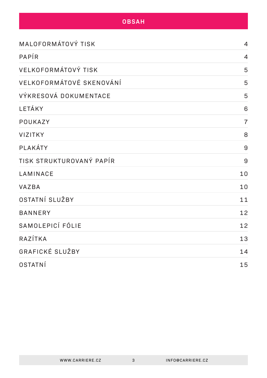#### **OBSAH**

| MALOFORMÁTOVÝ TISK       | $\overline{4}$ |
|--------------------------|----------------|
| PAPÍR                    | $\overline{4}$ |
| VELKOFORMÁTOVÝ TISK      | 5              |
| VELKOFORMÁTOVÉ SKENOVÁNÍ | 5              |
| VÝKRESOVÁ DOKUMENTACE    | 5              |
| LETÁKY                   | 6              |
| POUKAZY                  | $\overline{7}$ |
| <b>VIZITKY</b>           | 8              |
| PLAKÁTY                  | 9              |
| TISK STRUKTUROVANÝ PAPÍR | 9              |
| LAMINACE                 | 10             |
| <b>VAZBA</b>             | 10             |
| OSTATNÍ SLUŽBY           | 11             |
| <b>BANNERY</b>           | 12             |
| SAMOLEPICÍ FÓLIE         | 12             |
| RAZÍTKA                  | 13             |
| GRAFICKÉ SLUŽBY          | 14             |
| OSTATNÍ                  | 15             |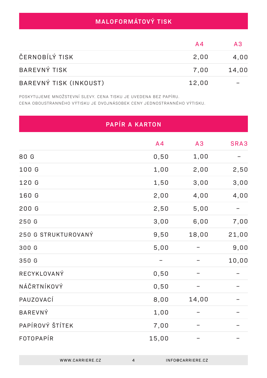# **MALOFORMÁTOVÝ TISK**

|                        | A4    | $\mathbf{A}$ |
|------------------------|-------|--------------|
| ČERNOBÍLÝ TISK         | 2,00  | 4,00         |
| <b>BAREVNÝ TISK</b>    | 7.00  | 14,00        |
| BAREVNÝ TISK (INKOUST) | 12,00 |              |

POSKYTUJEME MNOŽSTEVNÍ SLEVY. CENA TISKU JE UVEDENA BEZ PAPÍRU. CENA OBOUSTRANNÉHO VÝTISKU JE DVOJNÁSOBEK CENY JEDNOSTRANNÉHO VÝTISKU.

| PAPÍR A KARTON      |                |       |       |
|---------------------|----------------|-------|-------|
|                     | A <sub>4</sub> | A3    | SRA3  |
| 80 G                | 0,50           | 1,00  |       |
| 100 G               | 1,00           | 2,00  | 2,50  |
| 120 G               | 1,50           | 3,00  | 3,00  |
| 160 G               | 2,00           | 4,00  | 4,00  |
| 200 G               | 2,50           | 5,00  |       |
| 250 G               | 3,00           | 6,00  | 7,00  |
| 250 G STRUKTUROVANÝ | 9,50           | 18,00 | 21,00 |
| 300 G               | 5,00           |       | 9,00  |
| 350 G               |                |       | 10,00 |
| RECYKLOVANÝ         | 0,50           |       |       |
| NÁČRTNÍKOVÝ         | 0,50           |       |       |
| PAUZOVACÍ           | 8,00           | 14,00 |       |
| <b>BAREVNÝ</b>      | 1,00           |       |       |
| PAPÍROVÝ ŠTÍTEK     | 7,00           |       |       |
| FOTOPAPÍR           | 15,00          |       |       |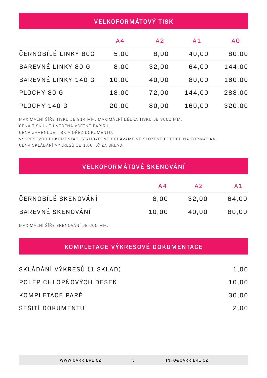| <b>VELKOFORMÁTOVÝ TISK</b> |                |                |                |                |
|----------------------------|----------------|----------------|----------------|----------------|
|                            | A <sub>4</sub> | A <sub>2</sub> | A <sub>1</sub> | A <sub>0</sub> |
| ČERNOBÍLÉ LINKY 80G        | 5,00           | 8,00           | 40,00          | 80,00          |
| BAREVNÉ LINKY 80 G         | 8,00           | 32,00          | 64,00          | 144,00         |
| BAREVNÉ LINKY 140 G        | 10,00          | 40,00          | 80,00          | 160,00         |
| PLOCHY 80 G                | 18,00          | 72,00          | 144,00         | 288,00         |
| PLOCHY 140 G               | 20,00          | 80,00          | 160,00         | 320,00         |

MAXIMÁLNÍ ŠÍŘE TISKU JE 914 MM, MAXIMÁLNÍ DÉLKA TISKU JE 3000 MM.

CENA TISKU JE UVEDENA VČETNĚ PAPÍRU.

CENA ZAHRNUJE TISK A OŘEZ DOKUMENTU.

VÝKRESOVOU DOKUMENTACI STANDARTNĚ DODÁVÁME VE SLOŽENÉ PODOBĚ NA FORMÁT A4. CENA SKLÁDÁNÍ VÝKRESŮ JE 1,00 KČ ZA SKLAD.

## **VELKOFORMÁTOVÉ SKENOVÁNÍ**

|                     | A4    | $\mathsf{A}\mathsf{P}$ | A 1   |
|---------------------|-------|------------------------|-------|
| ČERNOBÍLÉ SKENOVÁNÍ | 8.00  | 32,00                  | 64,00 |
| BAREVNÉ SKENOVÁNÍ   | 10,00 | 40,00                  | 80,00 |

MAXIMÁLNÍ ŠÍŘE SKENOVÁNÍ JE 600 MM.

# **KOMPLETACE VÝKRESOVÉ DOKUMENTACE**

| SKLÁDÁNÍ VÝKRESŮ (1 SKLAD) | 1,00  |
|----------------------------|-------|
| POLEP CHLOPŇOVÝCH DESEK    | 10,00 |
| KOMPLETACE PARÉ            | 30,00 |
| SEŠITÍ DOKUMENTU           | 2,00  |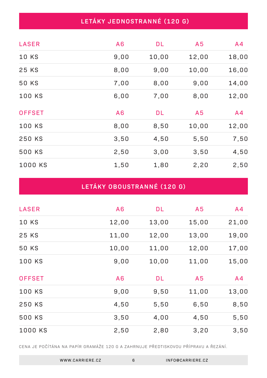## **LETÁKY JEDNOSTRANNÉ (120 G)**

| <b>LASER</b>  | A6   | <b>DL</b> | A <sub>5</sub> | A <sub>4</sub> |
|---------------|------|-----------|----------------|----------------|
| <b>10 KS</b>  | 9,00 | 10,00     | 12,00          | 18,00          |
| 25 KS         | 8,00 | 9,00      | 10,00          | 16,00          |
| 50 KS         | 7,00 | 8,00      | 9,00           | 14,00          |
| <b>100 KS</b> | 6,00 | 7,00      | 8,00           | 12,00          |
| <b>OFFSET</b> | A6   | <b>DL</b> | A <sub>5</sub> | A <sub>4</sub> |
| <b>100 KS</b> | 8,00 | 8,50      | 10,00          | 12,00          |
| 250 KS        | 3,50 | 4,50      | 5,50           | 7,50           |
| <b>500 KS</b> | 2,50 | 3,00      | 3,50           | 4,50           |
| 1000 KS       | 1,50 | 1,80      | 2,20           | 2,50           |

# **LETÁKY OBOUSTRANNÉ (120 G)**

| <b>LASER</b>  | A6    | <b>DL</b> | A <sub>5</sub> | A4             |
|---------------|-------|-----------|----------------|----------------|
| <b>10 KS</b>  | 12,00 | 13,00     | 15,00          | 21,00          |
| 25 KS         | 11,00 | 12,00     | 13,00          | 19,00          |
| <b>50 KS</b>  | 10,00 | 11,00     | 12,00          | 17,00          |
| <b>100 KS</b> | 9,00  | 10,00     | 11,00          | 15,00          |
| <b>OFFSET</b> | A6    | <b>DL</b> | A <sub>5</sub> | A <sub>4</sub> |
| <b>100 KS</b> | 9,00  | 9,50      | 11,00          | 13,00          |
| 250 KS        | 4,50  | 5,50      | 6,50           | 8,50           |
| 500 KS        | 3,50  | 4,00      | 4,50           | 5,50           |
| 1000 KS       | 2,50  | 2,80      | 3,20           | 3,50           |

CENA JE POČÍTÁNA NA PAPÍR GRAMÁŽE 120 G A ZAHRNUJE PŘEDTISKOVOU PŘÍPRAVU A ŘEZÁNÍ.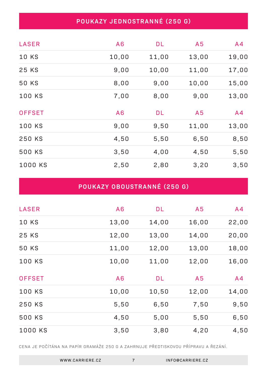## **POUKAZY JEDNOSTRANNÉ (250 G)**

| <b>LASER</b>  | A6    | <b>DL</b> | A <sub>5</sub> | A <sub>4</sub> |
|---------------|-------|-----------|----------------|----------------|
| <b>10 KS</b>  | 10,00 | 11,00     | 13,00          | 19,00          |
| 25 KS         | 9,00  | 10,00     | 11,00          | 17,00          |
| 50 KS         | 8,00  | 9,00      | 10,00          | 15,00          |
| <b>100 KS</b> | 7,00  | 8,00      | 9,00           | 13,00          |
| <b>OFFSET</b> | A6    | <b>DL</b> | A <sub>5</sub> | A <sub>4</sub> |
| <b>100 KS</b> | 9,00  | 9,50      | 11,00          | 13,00          |
| 250 KS        | 4,50  | 5,50      | 6,50           | 8,50           |
| 500 KS        | 3,50  | 4,00      | 4,50           | 5,50           |
| 1000 KS       | 2,50  | 2,80      | 3,20           | 3,50           |

## **POUKAZY OBOUSTRANNÉ (250 G)**

| <b>LASER</b>  | A6    | <b>DL</b> | A <sub>5</sub> | A <sub>4</sub> |
|---------------|-------|-----------|----------------|----------------|
| <b>10 KS</b>  | 13,00 | 14,00     | 16,00          | 22,00          |
| 25 KS         | 12,00 | 13,00     | 14,00          | 20,00          |
| <b>50 KS</b>  | 11,00 | 12,00     | 13,00          | 18,00          |
| <b>100 KS</b> | 10,00 | 11,00     | 12,00          | 16,00          |
| <b>OFFSET</b> | A6    | <b>DL</b> | A <sub>5</sub> | A <sub>4</sub> |
| <b>100 KS</b> | 10,00 | 10,50     | 12,00          | 14,00          |
| 250 KS        | 5,50  | 6,50      | 7,50           | 9,50           |
| 500 KS        | 4,50  | 5,00      | 5,50           | 6,50           |
| 1000 KS       | 3,50  | 3,80      | 4,20           | 4,50           |

CENA JE POČÍTÁNA NA PAPÍR GRAMÁŽE 250 G A ZAHRNUJE PŘEDTISKOVOU PŘÍPRAVU A ŘEZÁNÍ.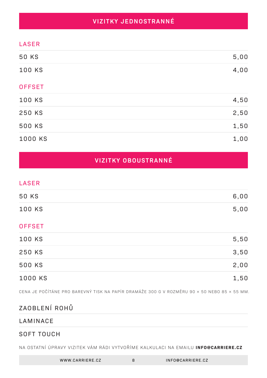## **VIZITKY JEDNOSTRANNÉ**

#### LASER

| <b>50 KS</b>  | 5,00 |
|---------------|------|
| 100 KS        | 4,00 |
| <b>OFFSET</b> |      |
| 100 KS        | 4,50 |
| 250 KS        | 2,50 |
| 500 KS        | 1,50 |
| 1000 KS       | 1,00 |

### **VIZITKY OBOUSTRANNÉ**

#### LASER

| 50 KS  | 6,00 |
|--------|------|
| 100 KS | 5,00 |

#### **OFFSET**

| 100 KS  | 5,50 |
|---------|------|
| 250 KS  | 3,50 |
| 500 KS  | 2,00 |
| 1000 KS | 1,50 |

CENA JE POČÍTÁNE PRO BAREVNÝ TISK NA PAPÍR DRAMÁŽE 300 G V ROZMĚRU 90 × 50 NEBO 85 × 55 MM.

## ZAOBLENÍ ROHŮ

#### LAMINACE

#### SOFT TOUCH

NA OSTATNÍ ÚPRAVY VIZITEK VÁM RÁDI VYTVOŘÍME KALKULACI NA EMAILU **INFO@CARRIERE.CZ**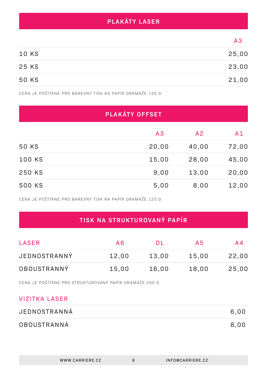## **PLAKÁTY LASER**

|              | A3    |
|--------------|-------|
| <b>10 KS</b> | 25,00 |
| 25 KS        | 23,00 |
| 50 KS        | 21,00 |

CENA JE POČÍTÁNE PRO BAREVNÝ TISK NA PAPÍR DRAMÁŽE 120 G.

| PLAKÁTY OFFSET |       |                |                |
|----------------|-------|----------------|----------------|
|                | A3    | A <sub>2</sub> | A <sub>1</sub> |
| 50 KS          | 20,00 | 40,00          | 72,00          |
| <b>100 KS</b>  | 15,00 | 28,00          | 45,00          |
| 250 KS         | 9,00  | 13,00          | 20,00          |
| 500 KS         | 5,00  | 8,00           | 12,00          |

CENA JE POČÍTÁNE PRO BAREVNÝ TISK NA PAPÍR DRAMÁŽE 120 G.

# **TISK NA STRUKTUROVANÝ PAPÍR**

| LASER              | A6    | ĐE    | A5    | A4    |
|--------------------|-------|-------|-------|-------|
| JEDNOSTRANNÝ       | 12,00 | 13,00 | 15,00 | 22,00 |
| <b>OBOUSTRANNÝ</b> | 15,00 | 16,00 | 18,00 | 25,00 |

CENA JE POČÍTÁNE PRO STRUKTUROVANÝ PAPÍR GRAMÁŽE 250 G.

#### VIZITKA LASER

| JEDNOSTRANNÁ       | 6.00 |
|--------------------|------|
| <b>OBOUSTRANNÁ</b> | 8,00 |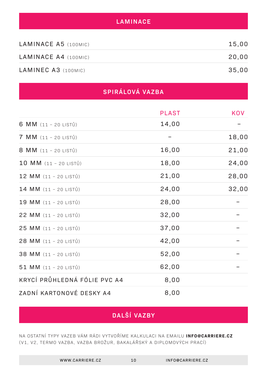#### **LAMINACE**

| LAMINACE A5 (100MIC) | 15,00 |
|----------------------|-------|
| LAMINACE A4 (100MIC) | 20.00 |
| LAMINEC A3 (100MIC)  | 35.00 |

## **SPIRÁLOVÁ VAZBA**

|                              | <b>PLAST</b> | KOV   |
|------------------------------|--------------|-------|
| 6 MM $(11 - 20$ LISTŮ)       | 14,00        |       |
| $7$ MM $(11 - 20$ LISTŮ)     |              | 18,00 |
| 8 MM (11 - 20 LISTŮ)         | 16,00        | 21,00 |
| 10 MM (11 - 20 LISTŮ)        | 18,00        | 24,00 |
| 12 MM (11 - 20 LISTŮ)        | 21,00        | 28,00 |
| 14 MM (11 - 20 LISTŮ)        | 24,00        | 32,00 |
| 19 MM (11 - 20 LISTŮ)        | 28,00        |       |
| 22 MM (11 - 20 LISTŮ)        | 32,00        |       |
| 25 MM (11 - 20 LISTŮ)        | 37,00        |       |
| 28 MM (11 - 20 LISTŮ)        | 42,00        |       |
| 38 MM (11 - 20 LISTŮ)        | 52,00        |       |
| $51$ MM $(11 - 20$ LISTŮ)    | 62,00        |       |
| KRYCÍ PRŮHLEDNÁ FÓLIE PVC A4 | 8,00         |       |
| ZADNÍ KARTONOVÉ DESKY A4     | 8,00         |       |

# **DALŠÍ VAZBY**

NA OSTATNÍ TYPY VAZEB VÁM RÁDI VYTVOŘÍME KALKULACI NA EMAILU **INFO@CARRIERE.CZ** (V1, V2, TERMO VAZBA, VAZBA BROŽUR, BAKALÁŘSKÝ A DIPLOMOVÝCH PRACÍ)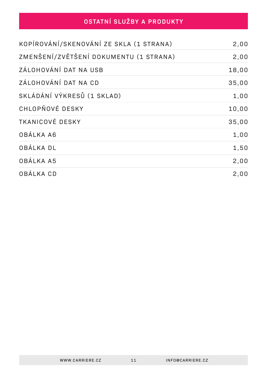# **OSTATNÍ SLUŽBY A PRODUKTY**

| KOPÍROVÁNÍ/SKENOVÁNÍ ZE SKLA (1 STRANA) | 2,00  |
|-----------------------------------------|-------|
| ZMENŠENÍ/ZVĚTŠENÍ DOKUMENTU (1 STRANA)  | 2,00  |
| ZÁLOHOVÁNÍ DAT NA USB                   | 18,00 |
| ZÁLOHOVÁNÍ DAT NA CD                    | 35,00 |
| SKLÁDÁNÍ VÝKRESŮ (1 SKLAD)              | 1,00  |
| CHLOPŇOVÉ DESKY                         | 10,00 |
| <b>TKANICOVÉ DESKY</b>                  | 35,00 |
| OBÁLKA A6                               | 1,00  |
| OBÁLKA DL                               | 1,50  |
| OBÁLKA A5                               | 2,00  |
| OBÁLKA CD                               | 2,00  |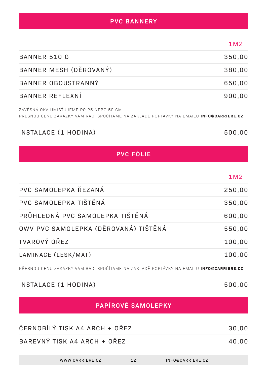| <b>PVC BANNERY</b> |  |
|--------------------|--|
|                    |  |

|                                                                                                                                           | 1M2    |
|-------------------------------------------------------------------------------------------------------------------------------------------|--------|
| <b>BANNER 510 G</b>                                                                                                                       | 350,00 |
| BANNER MESH (DĚROVANÝ)                                                                                                                    | 380,00 |
| BANNER OBOUSTRANNÝ                                                                                                                        | 650,00 |
| BANNER REFLEXNÍ                                                                                                                           | 900,00 |
| ZÁVĚSNÁ OKA UMISŤUJEME PO 25 NEBO 50 CM.<br>PŘESNOU CENU ZAKÁZKY VÁM RÁDI SPOČÍTAME NA ZÁKLADĚ POPTÁVKY NA EMAILU <b>INFO@CARRIERE.CZ</b> |        |
| INSTALACE (1 HODINA)                                                                                                                      | 500,00 |
| <b>PVC FÓLIE</b>                                                                                                                          |        |
|                                                                                                                                           |        |
|                                                                                                                                           | 1M2    |
| PVC SAMOLEPKA ŘEZANÁ                                                                                                                      | 250,00 |
| PVC SAMOLEPKA TIŠTĚNÁ                                                                                                                     | 350,00 |

| PRŮHLEDNÁ PVC SAMOLEPKA TIŠTĚNÁ      | 600,00 |
|--------------------------------------|--------|
| OWV PVC SAMOLEPKA (DĚROVANÁ) TIŠTĚNÁ | 550,00 |
| TVAROVÝ OŘEZ                         | 100,00 |
| LAMINACE (LESK/MAT)                  | 100,00 |

PŘESNOU CENU ZAKÁZKY VÁM RÁDI SPOČÍTAME NA ZÁKLADĚ POPTÁVKY NA EMAILU **INFO@CARRIERE.CZ**

INSTALACE (1 HODINA)

# **PAPÍROVÉ SAMOLEPKY**

| ČERNOBÍLÝ TISK A4 ARCH + OŘEZ |  |
|-------------------------------|--|
| BAREVNÝ TISK A4 ARCH + OŘEZ   |  |

500,00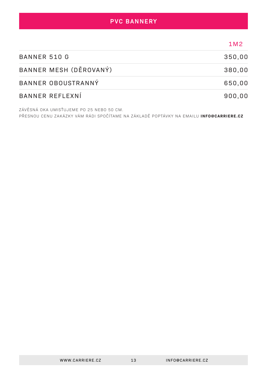#### **PVC BANNERY**

|                        | 1M <sub>2</sub> |
|------------------------|-----------------|
| <b>BANNER 510 G</b>    | 350,00          |
| BANNER MESH (DĚROVANÝ) | 380,00          |
| BANNER OBOUSTRANNÝ     | 650,00          |
| BANNER REFLEXNÍ        | 900,00          |

ZÁVĚSNÁ OKA UMISŤUJEME PO 25 NEBO 50 CM. PŘESNOU CENU ZAKÁZKY VÁM RÁDI SPOČÍTAME NA ZÁKLADĚ POPTÁVKY NA EMAILU **INFO@CARRIERE.CZ**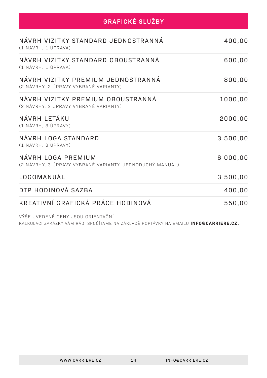| <b>GRAFICKÉ SLUŽBY</b>                                                         |          |
|--------------------------------------------------------------------------------|----------|
| NÁVRH VIZITKY STANDARD JEDNOSTRANNÁ<br>(1 NÁVRH, 1 ÚPRAVA)                     | 400,00   |
| NÁVRH VIZITKY STANDARD OBOUSTRANNÁ<br>(1 NÁVRH, 1 ÚPRAVA)                      | 600,00   |
| NÁVRH VIZITKY PREMIUM JEDNOSTRANNÁ<br>(2 NÁVRHY, 2 ÚPRAVY VYBRANÉ VARIANTY)    | 800,00   |
| NÁVRH VIZITKY PREMIUM OBOUSTRANNÁ<br>(2 NÁVRHY, 2 ÚPRAVY VYBRANÉ VARIANTY)     | 1000,00  |
| NÁVRH LETÁKU<br>(1 NÁVRH, 3 ÚPRAVY)                                            | 2000,00  |
| NÁVRH LOGA STANDARD<br>(1 NÁVRH, 3 ÚPRAVY)                                     | 3 500,00 |
| NÁVRH LOGA PREMIUM<br>(2 NÁVRHY, 3 ÚPRAVY VYBRANÉ VARIANTY, JEDNODUCHÝ MANUÁL) | 6 000,00 |
| LOGOMANUÁL                                                                     | 3 500,00 |
| DTP HODINOVÁ SAZBA                                                             | 400,00   |
| KREATIVNÍ GRAFICKÁ PRÁCE HODINOVÁ                                              | 550,00   |

VÝŠE UVEDENÉ CENY JSOU ORIENTAČNÍ.

KALKULACI ZAKÁZKY VÁM RÁDI SPOČÍTAME NA ZÁKLADĚ POPTÁVKY NA EMAILU **INFO@CARRIERE.CZ.**